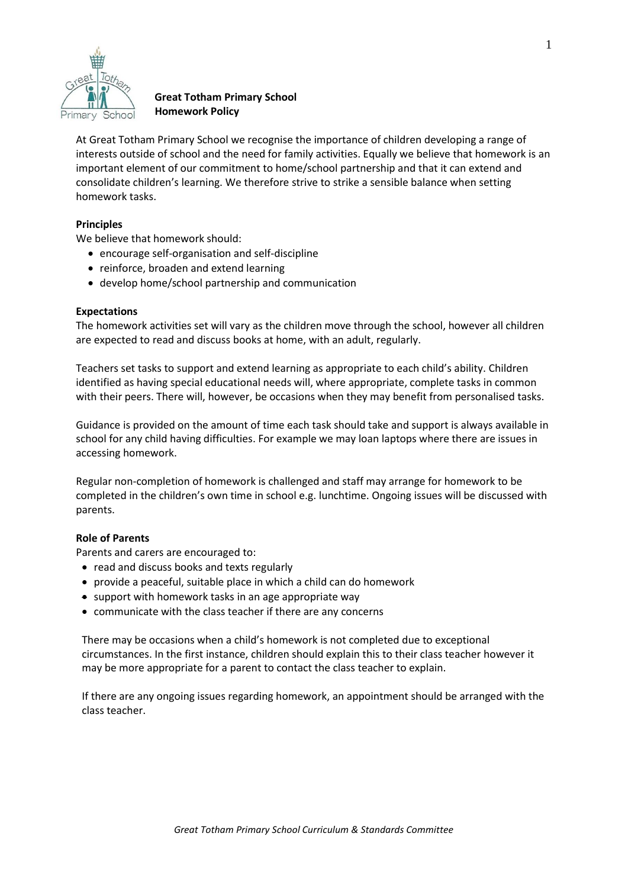

# **Great Totham Primary School Homework Policy**

At Great Totham Primary School we recognise the importance of children developing a range of interests outside of school and the need for family activities. Equally we believe that homework is an important element of our commitment to home/school partnership and that it can extend and consolidate children's learning. We therefore strive to strike a sensible balance when setting homework tasks.

## **Principles**

We believe that homework should:

- encourage self-organisation and self-discipline
- reinforce, broaden and extend learning
- develop home/school partnership and communication

### **Expectations**

The homework activities set will vary as the children move through the school, however all children are expected to read and discuss books at home, with an adult, regularly.

Teachers set tasks to support and extend learning as appropriate to each child's ability. Children identified as having special educational needs will, where appropriate, complete tasks in common with their peers. There will, however, be occasions when they may benefit from personalised tasks.

Guidance is provided on the amount of time each task should take and support is always available in school for any child having difficulties. For example we may loan laptops where there are issues in accessing homework.

Regular non-completion of homework is challenged and staff may arrange for homework to be completed in the children's own time in school e.g. lunchtime. Ongoing issues will be discussed with parents.

### **Role of Parents**

Parents and carers are encouraged to:

- read and discuss books and texts regularly
- provide a peaceful, suitable place in which a child can do homework
- $\bullet$  support with homework tasks in an age appropriate way
- communicate with the class teacher if there are any concerns

There may be occasions when a child's homework is not completed due to exceptional circumstances. In the first instance, children should explain this to their class teacher however it may be more appropriate for a parent to contact the class teacher to explain.

If there are any ongoing issues regarding homework, an appointment should be arranged with the class teacher.